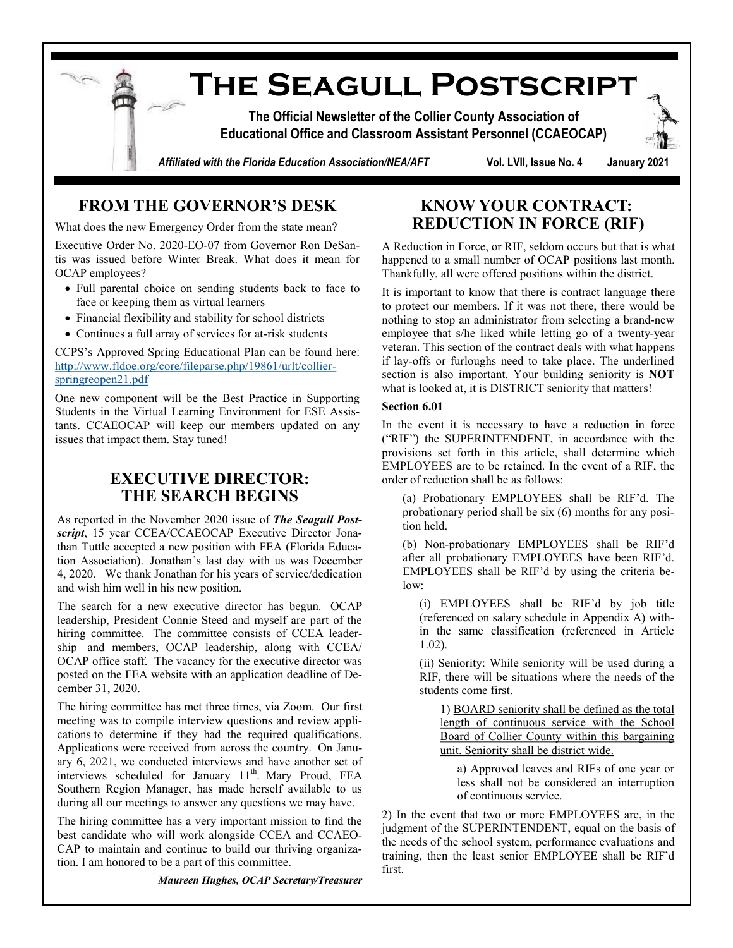

## **FROM THE GOVERNOR'S DESK**

What does the new Emergency Order from the state mean?

Executive Order No. 2020-EO-07 from Governor Ron DeSantis was issued before Winter Break. What does it mean for OCAP employees?

- Full parental choice on sending students back to face to face or keeping them as virtual learners
- Financial flexibility and stability for school districts
- Continues a full array of services for at-risk students

CCPS's Approved Spring Educational Plan can be found here: [http://www.fldoe.org/core/fileparse.php/19861/urlt/collier](http://www.fldoe.org/core/fileparse.php/19861/urlt/collier-springreopen21.pdf)[springreopen21.pdf](http://www.fldoe.org/core/fileparse.php/19861/urlt/collier-springreopen21.pdf)

One new component will be the Best Practice in Supporting Students in the Virtual Learning Environment for ESE Assistants. CCAEOCAP will keep our members updated on any issues that impact them. Stay tuned!

### **EXECUTIVE DIRECTOR: THE SEARCH BEGINS**

As reported in the November 2020 issue of *The Seagull Postscript*, 15 year CCEA/CCAEOCAP Executive Director Jonathan Tuttle accepted a new position with FEA (Florida Education Association). Jonathan's last day with us was December 4, 2020. We thank Jonathan for his years of service/dedication and wish him well in his new position.

The search for a new executive director has begun. OCAP leadership, President Connie Steed and myself are part of the hiring committee. The committee consists of CCEA leadership and members, OCAP leadership, along with CCEA/ OCAP office staff. The vacancy for the executive director was posted on the FEA website with an application deadline of December 31, 2020.

The hiring committee has met three times, via Zoom. Our first meeting was to compile interview questions and review applications to determine if they had the required qualifications. Applications were received from across the country. On January 6, 2021, we conducted interviews and have another set of interviews scheduled for January 11<sup>th</sup>. Mary Proud, FEA Southern Region Manager, has made herself available to us during all our meetings to answer any questions we may have.

The hiring committee has a very important mission to find the best candidate who will work alongside CCEA and CCAEO-CAP to maintain and continue to build our thriving organization. I am honored to be a part of this committee.

*Maureen Hughes, OCAP Secretary/Treasurer*

## **KNOW YOUR CONTRACT: REDUCTION IN FORCE (RIF)**

A Reduction in Force, or RIF, seldom occurs but that is what happened to a small number of OCAP positions last month. Thankfully, all were offered positions within the district.

It is important to know that there is contract language there to protect our members. If it was not there, there would be nothing to stop an administrator from selecting a brand-new employee that s/he liked while letting go of a twenty-year veteran. This section of the contract deals with what happens if lay-offs or furloughs need to take place. The underlined section is also important. Your building seniority is **NOT** what is looked at, it is DISTRICT seniority that matters!

#### **Section 6.01**

In the event it is necessary to have a reduction in force ("RIF") the SUPERINTENDENT, in accordance with the provisions set forth in this article, shall determine which EMPLOYEES are to be retained. In the event of a RIF, the order of reduction shall be as follows:

(a) Probationary EMPLOYEES shall be RIF'd. The probationary period shall be six (6) months for any position held.

(b) Non-probationary EMPLOYEES shall be RIF'd after all probationary EMPLOYEES have been RIF'd. EMPLOYEES shall be RIF'd by using the criteria below:

(i) EMPLOYEES shall be RIF'd by job title (referenced on salary schedule in Appendix A) within the same classification (referenced in Article 1.02).

(ii) Seniority: While seniority will be used during a RIF, there will be situations where the needs of the students come first.

1) BOARD seniority shall be defined as the total length of continuous service with the School Board of Collier County within this bargaining unit. Seniority shall be district wide.

a) Approved leaves and RIFs of one year or less shall not be considered an interruption of continuous service.

2) In the event that two or more EMPLOYEES are, in the judgment of the SUPERINTENDENT, equal on the basis of the needs of the school system, performance evaluations and training, then the least senior EMPLOYEE shall be RIF'd first.